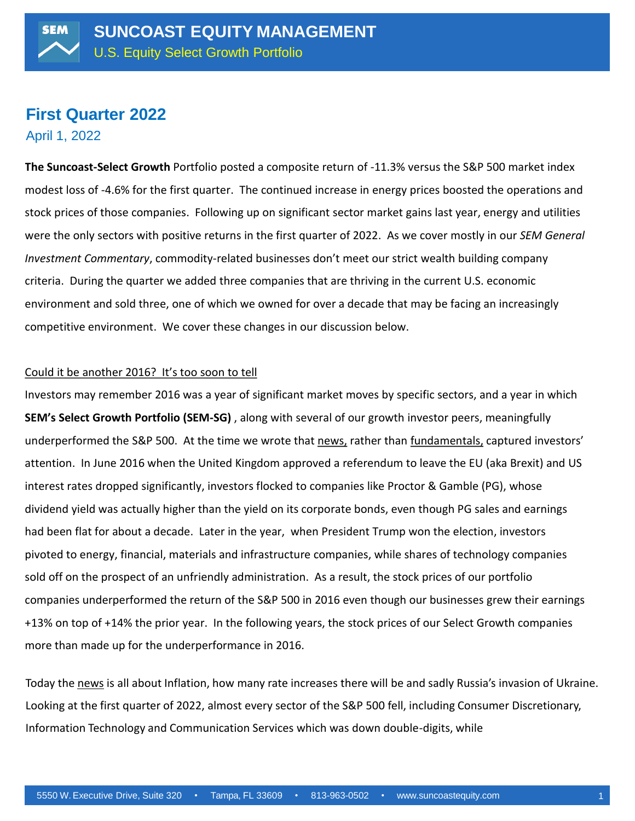# **First Quarter 2022**

April 1, 2022

**The Suncoast-Select Growth** Portfolio posted a composite return of -11.3% versus the S&P 500 market index modest loss of -4.6% for the first quarter. The continued increase in energy prices boosted the operations and stock prices of those companies. Following up on significant sector market gains last year, energy and utilities were the only sectors with positive returns in the first quarter of 2022. As we cover mostly in our *SEM General Investment Commentary*, commodity-related businesses don't meet our strict wealth building company criteria. During the quarter we added three companies that are thriving in the current U.S. economic environment and sold three, one of which we owned for over a decade that may be facing an increasingly competitive environment. We cover these changes in our discussion below.

### Could it be another 2016? It's too soon to tell

Investors may remember 2016 was a year of significant market moves by specific sectors, and a year in which **SEM's Select Growth Portfolio (SEM-SG)** , along with several of our growth investor peers, meaningfully underperformed the S&P 500. At the time we wrote that news, rather than fundamentals, captured investors' attention. In June 2016 when the United Kingdom approved a referendum to leave the EU (aka Brexit) and US interest rates dropped significantly, investors flocked to companies like Proctor & Gamble (PG), whose dividend yield was actually higher than the yield on its corporate bonds, even though PG sales and earnings had been flat for about a decade. Later in the year, when President Trump won the election, investors pivoted to energy, financial, materials and infrastructure companies, while shares of technology companies sold off on the prospect of an unfriendly administration. As a result, the stock prices of our portfolio companies underperformed the return of the S&P 500 in 2016 even though our businesses grew their earnings +13% on top of +14% the prior year. In the following years, the stock prices of our Select Growth companies more than made up for the underperformance in 2016.

Today the news is all about Inflation, how many rate increases there will be and sadly Russia's invasion of Ukraine. Looking at the first quarter of 2022, almost every sector of the S&P 500 fell, including Consumer Discretionary, Information Technology and Communication Services which was down double-digits, while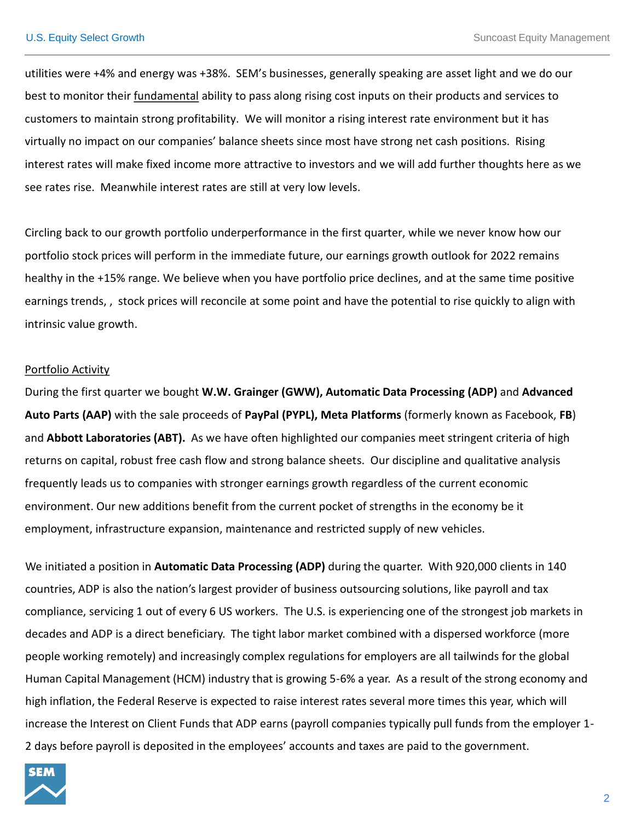utilities were +4% and energy was +38%. SEM'<sup>s</sup> businesses, generally speaking are asset light and we do our best to monitor their fundamental ability to pass along rising cost inputs on their products and services to customers to maintain strong profitability. We will monitor <sup>a</sup> rising interest rate environment but it has virtually no impact on our companies' balance sheets since most have strong net cash positions. Rising interest rates will make fixed income more attractive to investors and we will add further thoughts here as we see rates rise. Meanwhile interest rates are still at very low levels.

Circling back to our growth portfolio underperformance in the first quarter, while we never know how our portfolio stock prices will perform in the immediate future, our earnings growth outlook for 2022 remains healthy in the +15% range. We believe when you have portfolio price declines, and at the same time positive earnings trends, , stock prices will reconcile at some point and have the potential to rise quickly to align with intrinsic value growth.

#### Portfolio Activity

During the first quarter we bought **W.W. Grainger (GWW), Automatic Data Processing (ADP)** and **Advanced Auto Parts (AAP)** with the sale proceeds of **PayPal (PYPL), Meta Platforms** (formerly known as Facebook, **FB**) and **Abbott Laboratories (ABT).** As we have often highlighted our companies meet stringent criteria of high returns on capital, robust free cash flow and strong balance sheets. Our discipline and qualitative analysis frequently leads us to companies with stronger earnings growth regardless of the current economic environment. Our new additions benefit from the current pocket of strengths in the economy be it employment, infrastructure expansion, maintenance and restricted supply of new vehicles.

We initiated a position in **Automatic Data Processing (ADP)** during the quarter. With 920,000 clients in 140 countries, ADP is also the nation's largest provider of business outsourcing solutions, like payroll and tax compliance, servicing 1 out of every 6 US workers. The U.S. is experiencing one of the strongest job markets in decades and ADP is a direct beneficiary. The tight labor market combined with a dispersed workforce (more people working remotely) and increasingly complex regulations for employers are all tailwinds for the global Human Capital Management (HCM) industry that is growing 5-6% a year. As a result of the strong economy and high inflation, the Federal Reserve is expected to raise interest rates several more times this year, which will increase the Interest on Client Funds that ADP earns (payroll companies typically pull funds from the employer 1- 2 days before payroll is deposited in the employees' accounts and taxes are paid to the government.

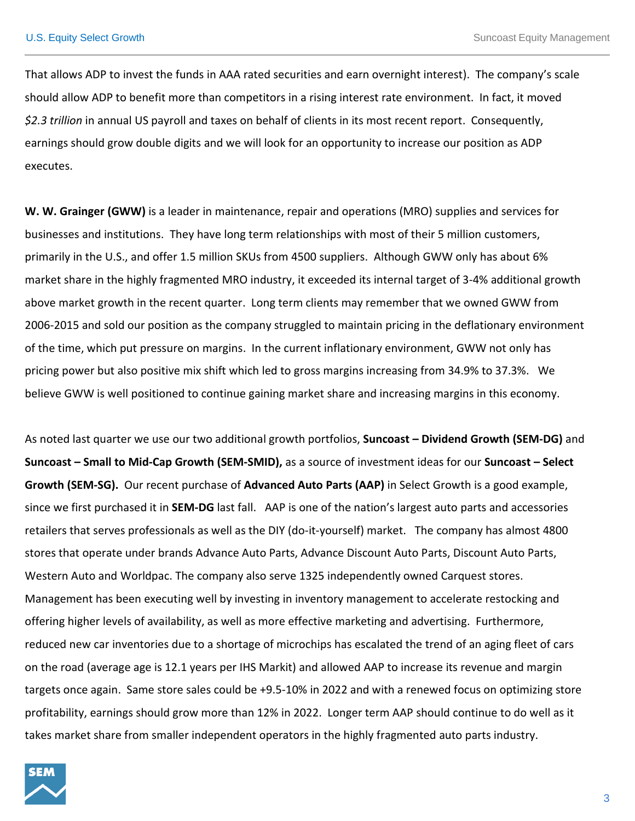That allows ADP to invest the funds in AAA rated securities and earn overnight interest). The company's scale should allow ADP to benefit more than competitors in a rising interest rate environment. In fact, it moved *\$2.3 trillion* in annual US payroll and taxes on behalf of clients in its most recent report. Consequently, earnings should grow double digits and we will look for an opportunity to increase our position as ADP executes.

**W. W. Grainger (GWW)** is a leader in maintenance, repair and operations (MRO) supplies and services for businesses and institutions. They have long term relationships with most of their 5 million customers, primarily in the U.S., and offer 1.5 million SKUs from 4500 suppliers. Although GWW only has about 6% market share in the highly fragmented MRO industry, it exceeded its internal target of 3-4% additional growth above market growth in the recent quarter. Long term clients may remember that we owned GWW from 2006-2015 and sold our position as the company struggled to maintain pricing in the deflationary environment of the time, which put pressure on margins. In the current inflationary environment, GWW not only has pricing power but also positive mix shift which led to gross margins increasing from 34.9% to 37.3%. We believe GWW is well positioned to continue gaining market share and increasing margins in this economy.

As noted last quarter we use our two additional growth portfolios, **Suncoast – Dividend Growth (SEM-DG)** and **Suncoast – Small to Mid-Cap Growth (SEM-SMID),** as a source of investment ideas for our **Suncoast – Select Growth (SEM-SG).** Our recent purchase of **Advanced Auto Parts (AAP)** in Select Growth is a good example, since we first purchased it in **SEM-DG** last fall. AAP is one of the nation's largest auto parts and accessories retailers that serves professionals as well as the DIY (do-it-yourself) market. The company has almost 4800 stores that operate under brands Advance Auto Parts, Advance Discount Auto Parts, Discount Auto Parts, Western Auto and Worldpac. The company also serve 1325 independently owned Carquest stores. Management has been executing well by investing in inventory management to accelerate restocking and offering higher levels of availability, as well as more effective marketing and advertising. Furthermore, reduced new car inventories due to a shortage of microchips has escalated the trend of an aging fleet of cars on the road (average age is 12.1 years per IHS Markit) and allowed AAP to increase its revenue and margin targets once again. Same store sales could be +9.5-10% in 2022 and with a renewed focus on optimizing store profitability, earnings should grow more than 12% in 2022. Longer term AAP should continue to do well as it takes market share from smaller independent operators in the highly fragmented auto parts industry.

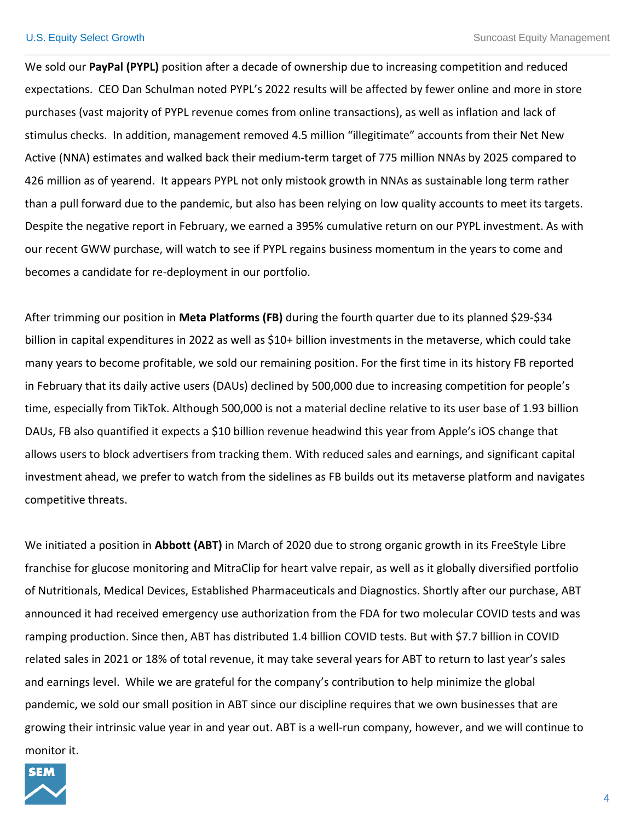We sold our **PayPal (PYPL)** position after a decade of ownership due to increasing competition and reduced expectations. CEO Dan Schulman noted PYPL's 2022 results will be affected by fewer online and more in store purchases (vast majority of PYPL revenue comes from online transactions), as well as inflation and lack of stimulus checks. In addition, management removed 4.5 million "illegitimate" accounts from their Net New Active (NNA) estimates and walked back their medium-term target of 775 million NNAs by 2025 compared to 426 million as of yearend. It appears PYPL not only mistook growth in NNAs as sustainable long term rather than a pull forward due to the pandemic, but also has been relying on low quality accounts to meet its targets. Despite the negative report in February, we earned a 395% cumulative return on our PYPL investment. As with our recent GWW purchase, will watch to see if PYPL regains business momentum in the years to come and becomes a candidate for re-deployment in our portfolio.

After trimming our position in **Meta Platforms (FB)** during the fourth quarter due to its planned \$29-\$34 billion in capital expenditures in 2022 as well as \$10+ billion investments in the metaverse, which could take many years to become profitable, we sold our remaining position. For the first time in its history FB reported in February that its daily active users (DAUs) declined by 500,000 due to increasing competition for people'<sup>s</sup> time, especially from TikTok. Although 500,000 is not a material decline relative to its user base of 1.93 billion DAUs, FB also quantified it expects a \$10 billion revenue headwind this year from Apple's iOS change that allows users to block advertisers from tracking them. With reduced sales and earnings, and significant capital investment ahead, we prefer to watch from the sidelines as FB builds out its metaverse platform and navigates competitive threats.

We initiated a position in **Abbott (ABT)** in March of 2020 due to strong organic growth in its FreeStyle Libre franchise for glucose monitoring and MitraClip for heart valve repair, as well as it globally diversified portfolio of Nutritionals, Medical Devices, Established Pharmaceuticals and Diagnostics. Shortly after our purchase, ABT announced it had received emergency use authorization from the FDA for two molecular COVID tests and was ramping production. Since then, ABT has distributed 1.4 billion COVID tests. But with \$7.7 billion in COVID related sales in 2021 or 18% of total revenue, it may take several years for ABT to return to last year's sales and earnings level. While we are grateful for the company'<sup>s</sup> contribution to help minimize the global pandemic, we sold our small position in ABT since our discipline requires that we own businesses that are growing their intrinsic value year in and year out. ABT is a well-run company, however, and we will continue to monitor it.

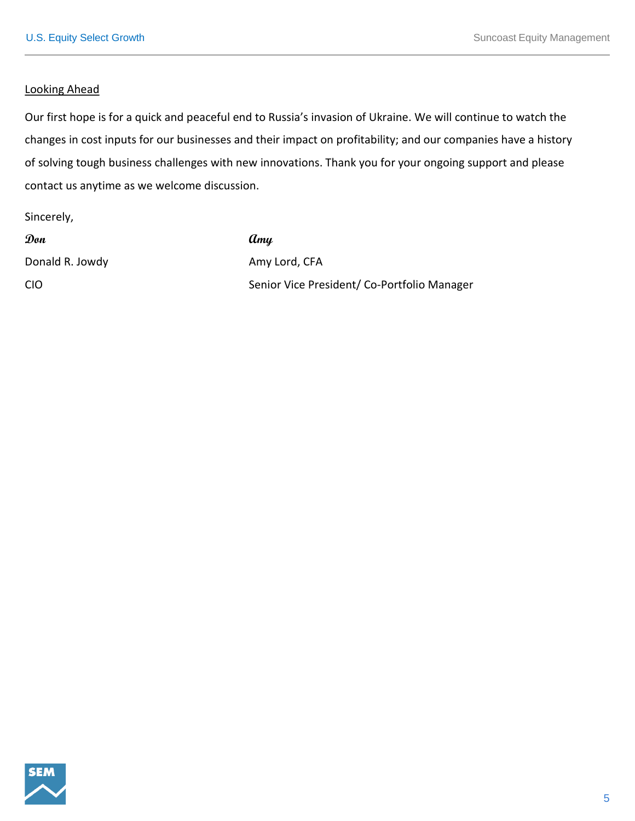#### Looking Ahead

Our first hope is for a quick and peaceful end to Russia's invasion of Ukraine. We will continue to watch the changes in cost inputs for our businesses and their impact on profitability; and our companies have a history of solving tough business challenges with new innovations. Thank you for your ongoing support and please contact us anytime as we welcome discussion.

Sincerely,

| Don             | Amy                                        |
|-----------------|--------------------------------------------|
| Donald R. Jowdy | Amy Lord, CFA                              |
| CIO             | Senior Vice President/Co-Portfolio Manager |

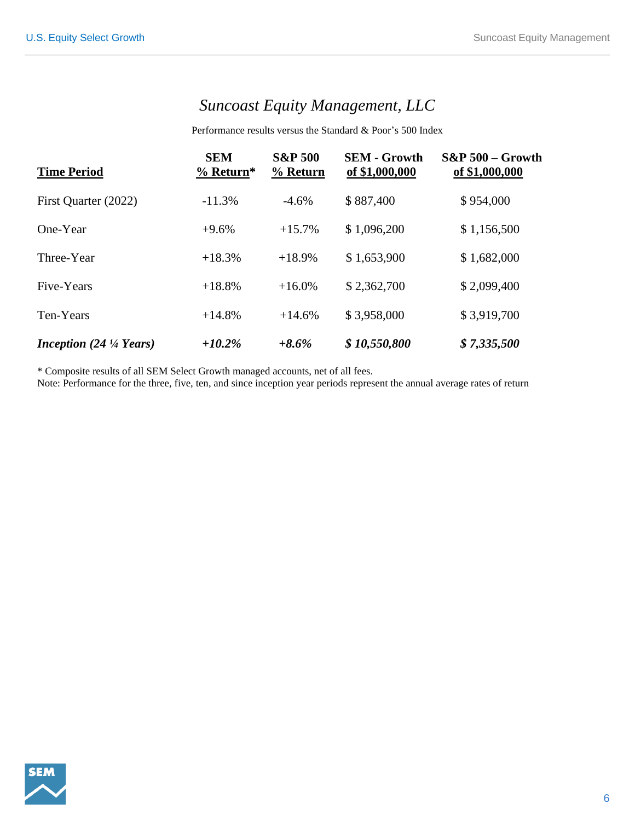## *Suncoast Equity Management, LLC*

Performance results versus the Standard & Poor's 500 Index

| <b>Time Period</b>                       | <b>SEM</b><br>$%$ Return* | <b>S&amp;P 500</b><br>% Return | <b>SEM - Growth</b><br>of \$1,000,000 | $S\&P 500 - Growth$<br>of \$1,000,000 |
|------------------------------------------|---------------------------|--------------------------------|---------------------------------------|---------------------------------------|
| First Quarter (2022)                     | $-11.3%$                  | $-4.6%$                        | \$887,400                             | \$954,000                             |
| One-Year                                 | $+9.6%$                   | $+15.7%$                       | \$1,096,200                           | \$1,156,500                           |
| Three-Year                               | $+18.3%$                  | $+18.9%$                       | \$1,653,900                           | \$1,682,000                           |
| Five-Years                               | $+18.8%$                  | $+16.0%$                       | \$2,362,700                           | \$2,099,400                           |
| Ten-Years                                | $+14.8\%$                 | $+14.6%$                       | \$3,958,000                           | \$3,919,700                           |
| <i>Inception</i> $(24\frac{1}{4}$ Years) | $+10.2%$                  | $+8.6\%$                       | \$10,550,800                          | \$7,335,500                           |

\* Composite results of all SEM Select Growth managed accounts, net of all fees.

Note: Performance for the three, five, ten, and since inception year periods represen<sup>t</sup> the annual average rates of return